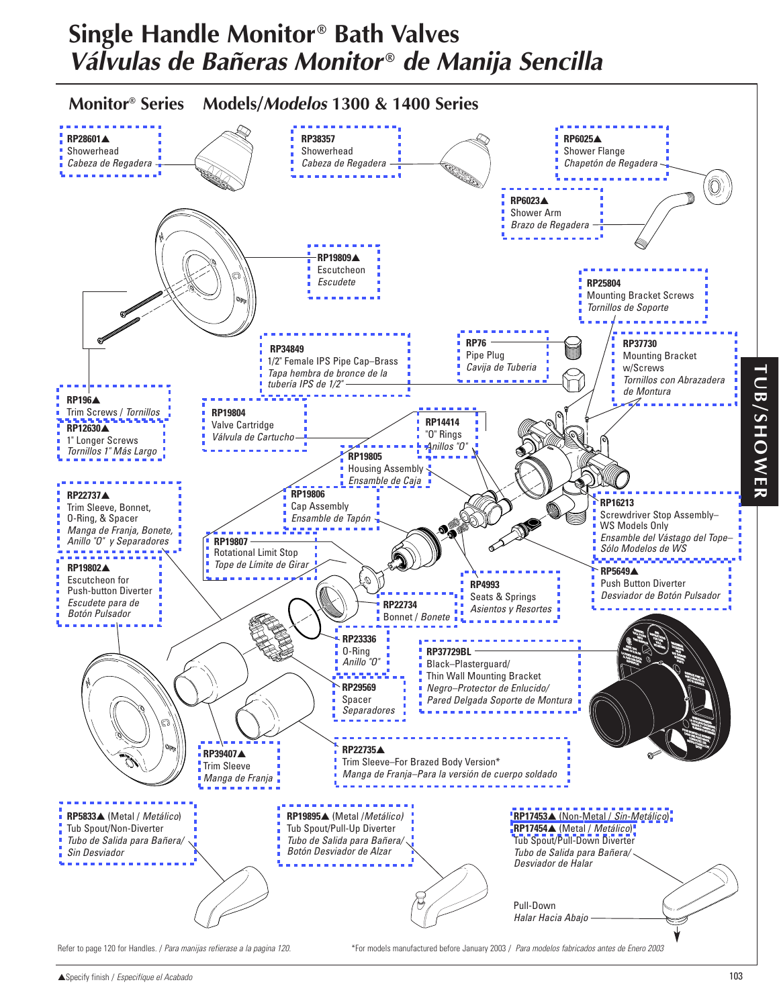